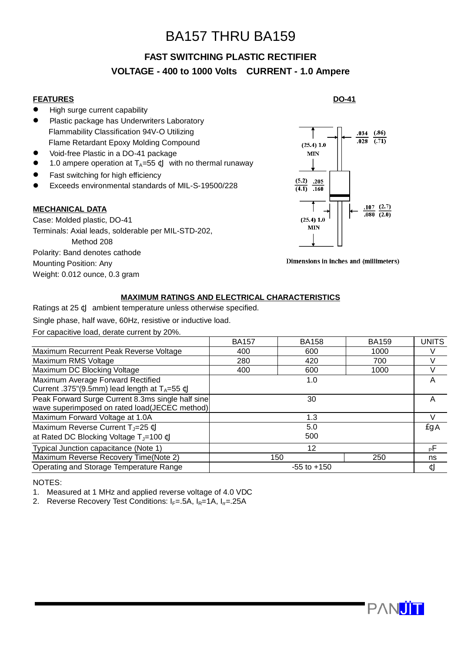# BA157 THRU BA159

# **FAST SWITCHING PLASTIC RECTIFIER VOLTAGE - 400 to 1000 Volts CURRENT - 1.0 Ampere**

### **FEATURES**

- **•** High surge current capability
- **•** Plastic package has Underwriters Laboratory Flammability Classification 94V-O Utilizing Flame Retardant Epoxy Molding Compound
- Void-free Plastic in a DO-41 package
- 1.0 ampere operation at  $T_A=55$  ¢J with no thermal runaway
- Fast switching for high efficiency
- Exceeds environmental standards of MIL-S-19500/228

#### **MECHANICAL DATA**

Case: Molded plastic, DO-41 Terminals: Axial leads, solderable per MIL-STD-202, Method 208 Polarity: Band denotes cathode Mounting Position: Any Weight: 0.012 ounce, 0.3 gram

#### **DO-41**



Dimensions in inches and (millimeters)

#### **MAXIMUM RATINGS AND ELECTRICAL CHARACTERISTICS**

Ratings at 25 ¢J ambient temperature unless otherwise specified.

Single phase, half wave, 60Hz, resistive or inductive load.

For capacitive load, derate current by 20%.

|                                                                                                      | <b>BA157</b>    | <b>BA158</b> | <b>BA159</b> | <b>UNITS</b> |
|------------------------------------------------------------------------------------------------------|-----------------|--------------|--------------|--------------|
| Maximum Recurrent Peak Reverse Voltage                                                               | 400             | 600          | 1000         |              |
| Maximum RMS Voltage                                                                                  | 280             | 420          | 700          |              |
| Maximum DC Blocking Voltage                                                                          | 400             | 600          | 1000         |              |
| Maximum Average Forward Rectified<br>Current .375"(9.5mm) lead length at TA=55 ¢J                    | 1.0             |              |              | A            |
| Peak Forward Surge Current 8.3ms single half sine<br>wave superimposed on rated load(JECEC method)   | 30              |              |              |              |
| Maximum Forward Voltage at 1.0A                                                                      | 1.3             |              |              |              |
| Maximum Reverse Current T <sub>J</sub> =25 ¢J<br>at Rated DC Blocking Voltage T <sub>J</sub> =100 ¢J | 5.0<br>500      |              |              | EgA          |
| Typical Junction capacitance (Note 1)                                                                | 12              |              |              | PЕ           |
| Maximum Reverse Recovery Time(Note 2)                                                                | 150<br>250      |              |              | ns           |
| Operating and Storage Temperature Range                                                              | $-55$ to $+150$ |              |              | ¢J           |

NOTES:

1. Measured at 1 MHz and applied reverse voltage of 4.0 VDC

2. Reverse Recovery Test Conditions:  $I_F = .5A$ ,  $I_R = 1A$ ,  $I_T = .25A$